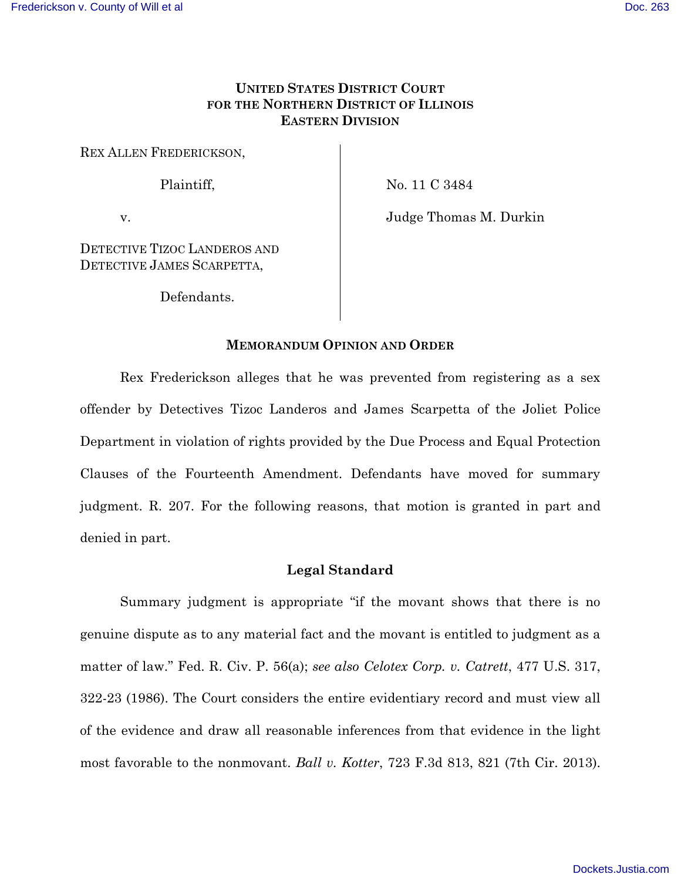## **UNITED STATES DISTRICT COURT FOR THE NORTHERN DISTRICT OF ILLINOIS EASTERN DIVISION**

REX ALLEN FREDERICKSON,

Plaintiff,

No. 11 C 3484

v.

Judge Thomas M. Durkin

DETECTIVE TIZOC LANDEROS AND DETECTIVE JAMES SCARPETTA,

Defendants.

## **MEMORANDUM OPINION AND ORDER**

Rex Frederickson alleges that he was prevented from registering as a sex offender by Detectives Tizoc Landeros and James Scarpetta of the Joliet Police Department in violation of rights provided by the Due Process and Equal Protection Clauses of the Fourteenth Amendment. Defendants have moved for summary judgment. R. 207. For the following reasons, that motion is granted in part and denied in part.

## **Legal Standard**

Summary judgment is appropriate "if the movant shows that there is no genuine dispute as to any material fact and the movant is entitled to judgment as a matter of law." Fed. R. Civ. P. 56(a); *see also Celotex Corp. v. Catrett*, 477 U.S. 317, 322-23 (1986). The Court considers the entire evidentiary record and must view all of the evidence and draw all reasonable inferences from that evidence in the light most favorable to the nonmovant. *Ball v. Kotter*, 723 F.3d 813, 821 (7th Cir. 2013).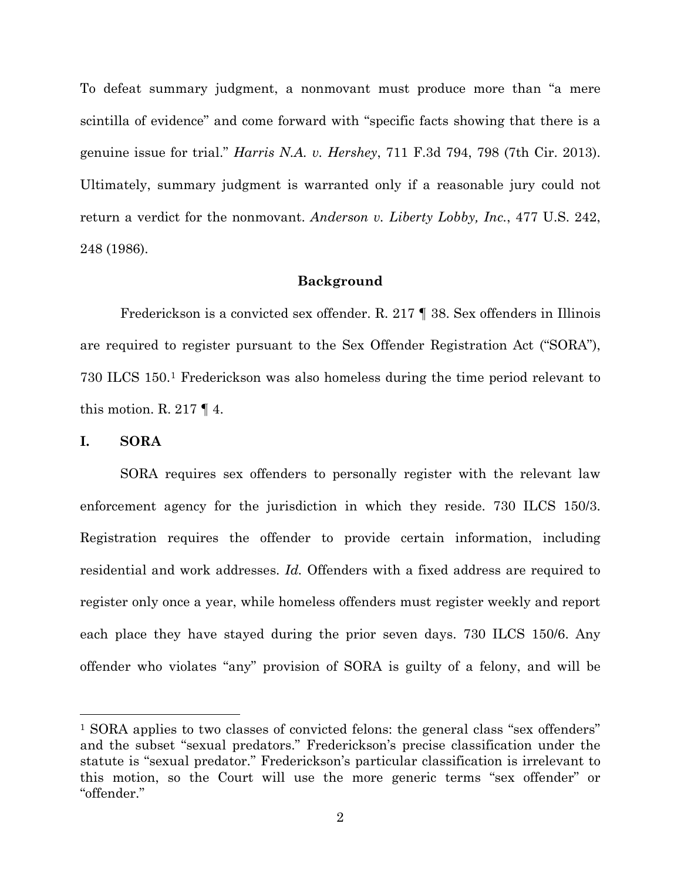To defeat summary judgment, a nonmovant must produce more than "a mere scintilla of evidence" and come forward with "specific facts showing that there is a genuine issue for trial." *Harris N.A. v. Hershey*, 711 F.3d 794, 798 (7th Cir. 2013). Ultimately, summary judgment is warranted only if a reasonable jury could not return a verdict for the nonmovant. *Anderson v. Liberty Lobby, Inc.*, 477 U.S. 242, 248 (1986).

#### **Background**

Frederickson is a convicted sex offender. R. 217 ¶ 38. Sex offenders in Illinois are required to register pursuant to the Sex Offender Registration Act ("SORA"), 730 ILCS 150.<sup>1</sup> Frederickson was also homeless during the time period relevant to this motion. R. 217  $\P$  4.

#### **I. SORA**

 $\overline{a}$ 

SORA requires sex offenders to personally register with the relevant law enforcement agency for the jurisdiction in which they reside. 730 ILCS 150/3. Registration requires the offender to provide certain information, including residential and work addresses. *Id.* Offenders with a fixed address are required to register only once a year, while homeless offenders must register weekly and report each place they have stayed during the prior seven days. 730 ILCS 150/6. Any offender who violates "any" provision of SORA is guilty of a felony, and will be

<sup>1</sup> SORA applies to two classes of convicted felons: the general class "sex offenders" and the subset "sexual predators." Frederickson's precise classification under the statute is "sexual predator." Frederickson's particular classification is irrelevant to this motion, so the Court will use the more generic terms "sex offender" or "offender."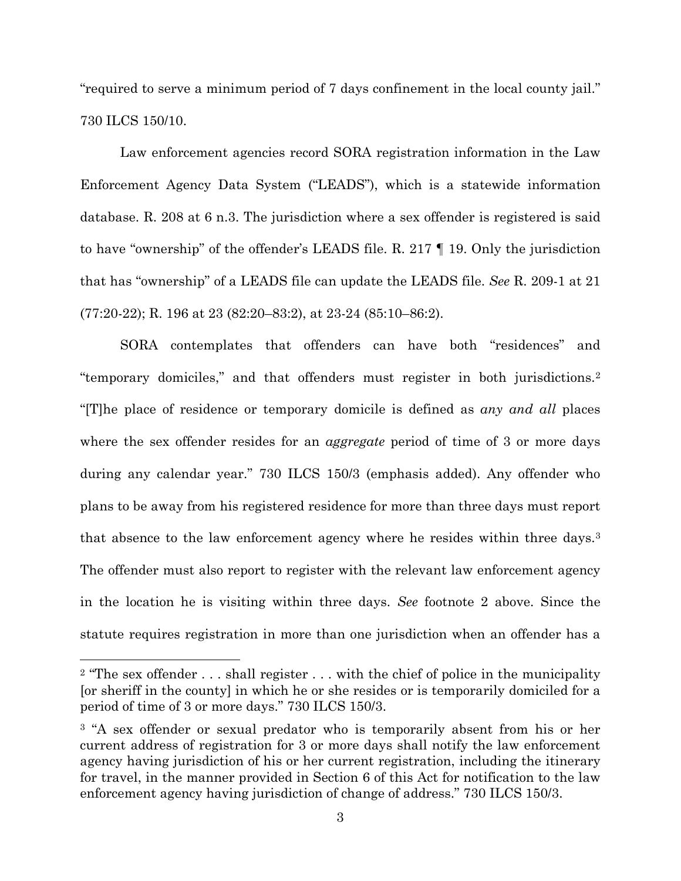"required to serve a minimum period of 7 days confinement in the local county jail." 730 ILCS 150/10.

Law enforcement agencies record SORA registration information in the Law Enforcement Agency Data System ("LEADS"), which is a statewide information database. R. 208 at 6 n.3. The jurisdiction where a sex offender is registered is said to have "ownership" of the offender's LEADS file. R. 217 ¶ 19. Only the jurisdiction that has "ownership" of a LEADS file can update the LEADS file. *See* R. 209-1 at 21 (77:20-22); R. 196 at 23 (82:20–83:2), at 23-24 (85:10–86:2).

SORA contemplates that offenders can have both "residences" and "temporary domiciles," and that offenders must register in both jurisdictions.<sup>2</sup> "[T]he place of residence or temporary domicile is defined as *any and all* places where the sex offender resides for an *aggregate* period of time of 3 or more days during any calendar year." 730 ILCS 150/3 (emphasis added). Any offender who plans to be away from his registered residence for more than three days must report that absence to the law enforcement agency where he resides within three days.<sup>3</sup> The offender must also report to register with the relevant law enforcement agency in the location he is visiting within three days. *See* footnote 2 above. Since the statute requires registration in more than one jurisdiction when an offender has a

 $\overline{a}$ 

<sup>&</sup>lt;sup>2</sup> "The sex offender  $\dots$  shall register  $\dots$  with the chief of police in the municipality [or sheriff in the county] in which he or she resides or is temporarily domiciled for a period of time of 3 or more days." 730 ILCS 150/3.

<sup>&</sup>lt;sup>3</sup> "A sex offender or sexual predator who is temporarily absent from his or her current address of registration for 3 or more days shall notify the law enforcement agency having jurisdiction of his or her current registration, including the itinerary for travel, in the manner provided in Section 6 of this Act for notification to the law enforcement agency having jurisdiction of change of address." 730 ILCS 150/3.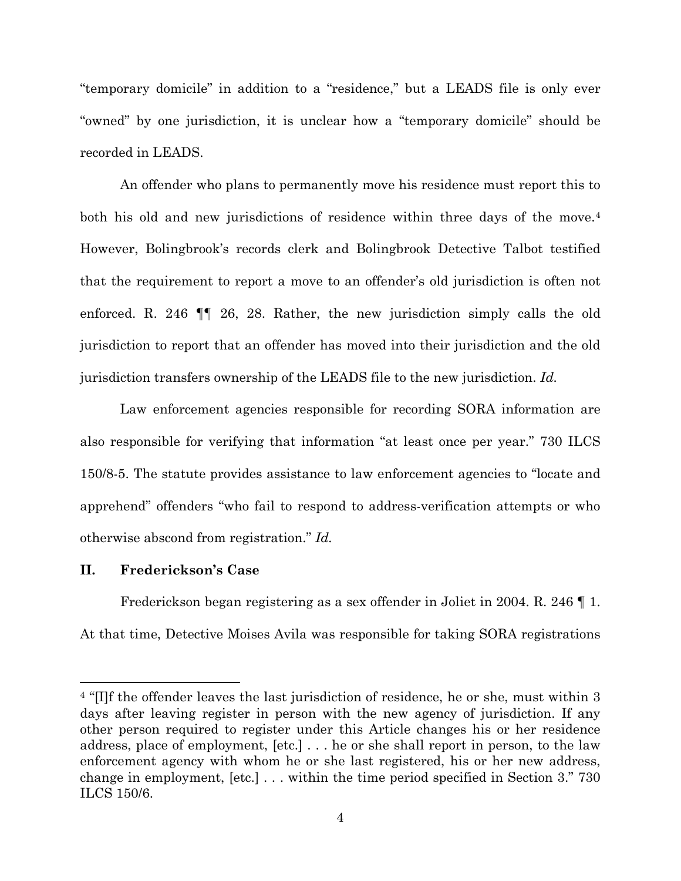"temporary domicile" in addition to a "residence," but a LEADS file is only ever "owned" by one jurisdiction, it is unclear how a "temporary domicile" should be recorded in LEADS.

An offender who plans to permanently move his residence must report this to both his old and new jurisdictions of residence within three days of the move.<sup>4</sup> However, Bolingbrook's records clerk and Bolingbrook Detective Talbot testified that the requirement to report a move to an offender's old jurisdiction is often not enforced. R. 246 ¶¶ 26, 28. Rather, the new jurisdiction simply calls the old jurisdiction to report that an offender has moved into their jurisdiction and the old jurisdiction transfers ownership of the LEADS file to the new jurisdiction. *Id.*

Law enforcement agencies responsible for recording SORA information are also responsible for verifying that information "at least once per year." 730 ILCS 150/8-5. The statute provides assistance to law enforcement agencies to "locate and apprehend" offenders "who fail to respond to address-verification attempts or who otherwise abscond from registration." *Id.*

## **II. Frederickson's Case**

 $\overline{a}$ 

Frederickson began registering as a sex offender in Joliet in 2004. R. 246 ¶ 1. At that time, Detective Moises Avila was responsible for taking SORA registrations

<sup>4</sup> "[I]f the offender leaves the last jurisdiction of residence, he or she, must within 3 days after leaving register in person with the new agency of jurisdiction. If any other person required to register under this Article changes his or her residence address, place of employment, [etc.] . . . he or she shall report in person, to the law enforcement agency with whom he or she last registered, his or her new address, change in employment, [etc.] . . . within the time period specified in Section 3." 730 ILCS 150/6.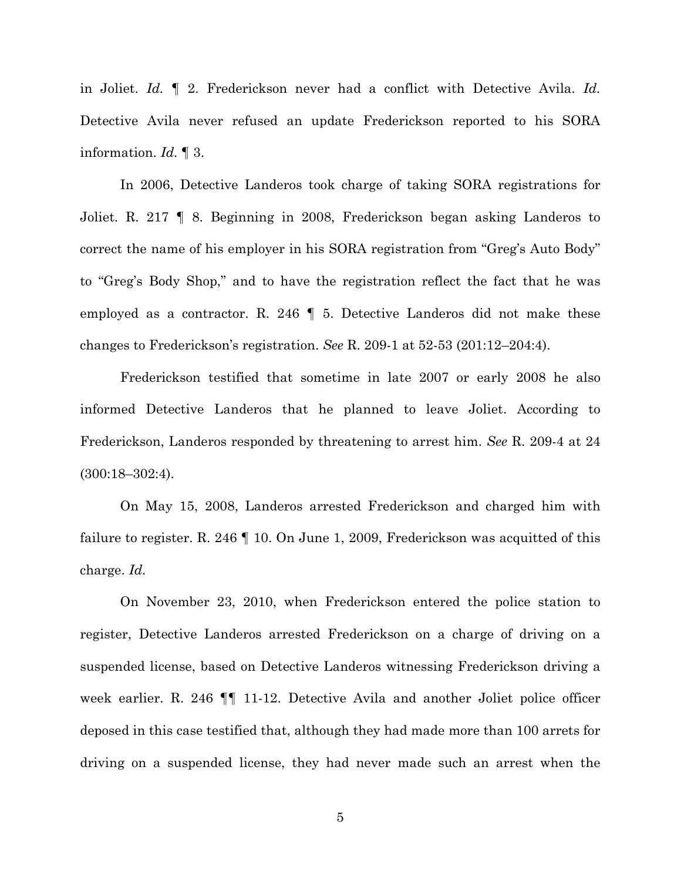in Joliet. *Id.* ¶ 2. Frederickson never had a conflict with Detective Avila. *Id.* Detective Avila never refused an update Frederickson reported to his SORA information. *Id.* ¶ 3.

In 2006, Detective Landeros took charge of taking SORA registrations for Joliet. R. 217 ¶ 8. Beginning in 2008, Frederickson began asking Landeros to correct the name of his employer in his SORA registration from "Greg's Auto Body" to "Greg's Body Shop," and to have the registration reflect the fact that he was employed as a contractor. R. 246  $\parallel$  5. Detective Landeros did not make these changes to Frederickson's registration. *See* R. 209-1 at 52-53 (201:12–204:4).

Frederickson testified that sometime in late 2007 or early 2008 he also informed Detective Landeros that he planned to leave Joliet. According to Frederickson, Landeros responded by threatening to arrest him. *See* R. 209-4 at 24 (300:18–302:4).

On May 15, 2008, Landeros arrested Frederickson and charged him with failure to register. R. 246 | 10. On June 1, 2009, Frederickson was acquitted of this charge. *Id.*

On November 23, 2010, when Frederickson entered the police station to register, Detective Landeros arrested Frederickson on a charge of driving on a suspended license, based on Detective Landeros witnessing Frederickson driving a week earlier. R. 246  $\P$  11-12. Detective Avila and another Joliet police officer deposed in this case testified that, although they had made more than 100 arrets for driving on a suspended license, they had never made such an arrest when the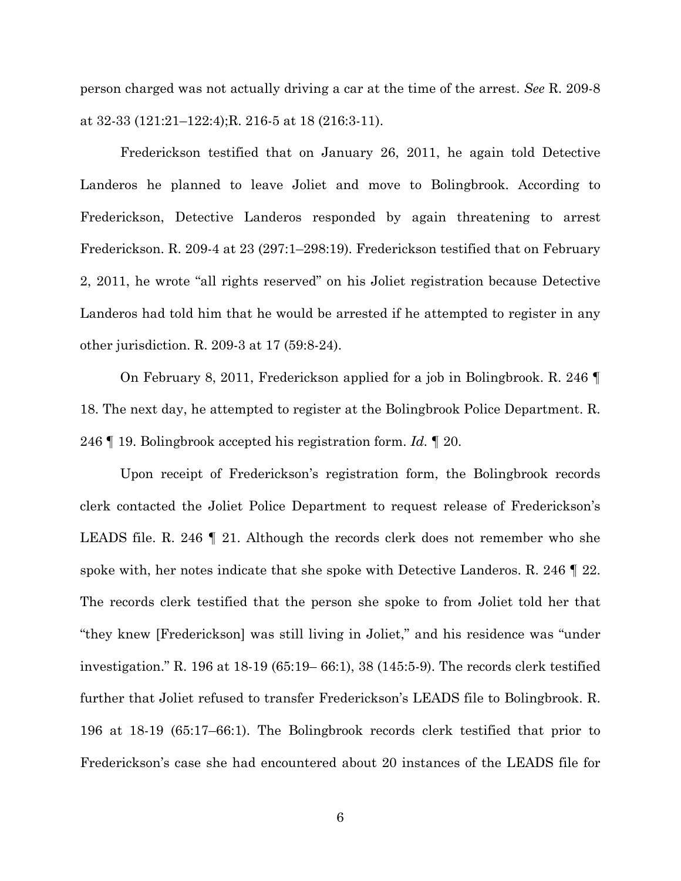person charged was not actually driving a car at the time of the arrest. *See* R. 209-8 at 32-33 (121:21–122:4);R. 216-5 at 18 (216:3-11).

Frederickson testified that on January 26, 2011, he again told Detective Landeros he planned to leave Joliet and move to Bolingbrook. According to Frederickson, Detective Landeros responded by again threatening to arrest Frederickson. R. 209-4 at 23 (297:1–298:19). Frederickson testified that on February 2, 2011, he wrote "all rights reserved" on his Joliet registration because Detective Landeros had told him that he would be arrested if he attempted to register in any other jurisdiction. R. 209-3 at 17 (59:8-24).

On February 8, 2011, Frederickson applied for a job in Bolingbrook. R. 246 ¶ 18. The next day, he attempted to register at the Bolingbrook Police Department. R. 246 ¶ 19. Bolingbrook accepted his registration form. *Id.* ¶ 20.

Upon receipt of Frederickson's registration form, the Bolingbrook records clerk contacted the Joliet Police Department to request release of Frederickson's LEADS file. R. 246 ¶ 21. Although the records clerk does not remember who she spoke with, her notes indicate that she spoke with Detective Landeros. R. 246 ¶ 22. The records clerk testified that the person she spoke to from Joliet told her that "they knew [Frederickson] was still living in Joliet," and his residence was "under investigation." R. 196 at 18-19 (65:19– 66:1), 38 (145:5-9). The records clerk testified further that Joliet refused to transfer Frederickson's LEADS file to Bolingbrook. R. 196 at 18-19 (65:17–66:1). The Bolingbrook records clerk testified that prior to Frederickson's case she had encountered about 20 instances of the LEADS file for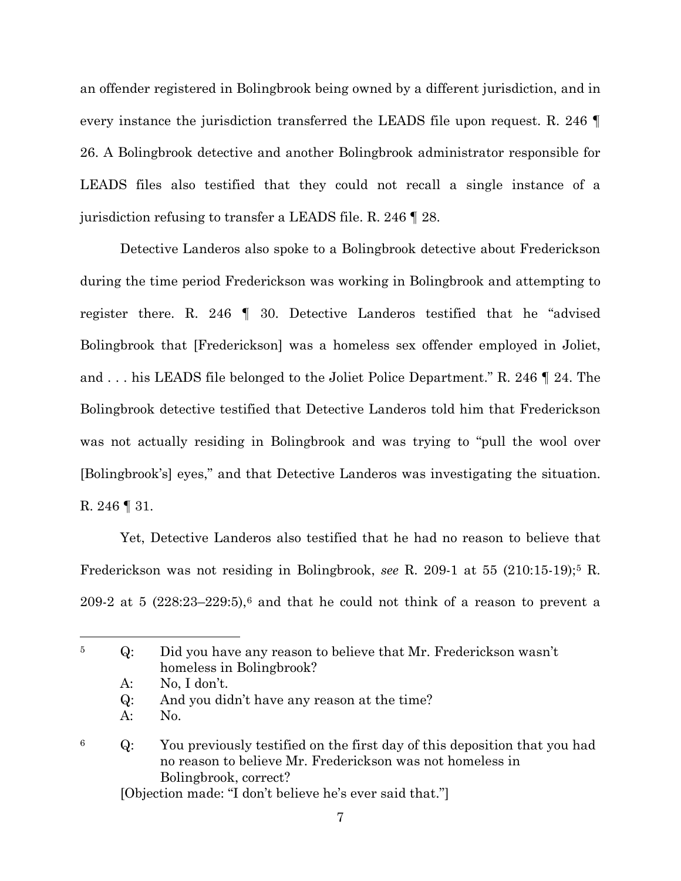an offender registered in Bolingbrook being owned by a different jurisdiction, and in every instance the jurisdiction transferred the LEADS file upon request. R. 246 ¶ 26. A Bolingbrook detective and another Bolingbrook administrator responsible for LEADS files also testified that they could not recall a single instance of a jurisdiction refusing to transfer a LEADS file. R. 246 ¶ 28.

 Detective Landeros also spoke to a Bolingbrook detective about Frederickson during the time period Frederickson was working in Bolingbrook and attempting to register there. R. 246 ¶ 30. Detective Landeros testified that he "advised Bolingbrook that [Frederickson] was a homeless sex offender employed in Joliet, and . . . his LEADS file belonged to the Joliet Police Department." R. 246 ¶ 24. The Bolingbrook detective testified that Detective Landeros told him that Frederickson was not actually residing in Bolingbrook and was trying to "pull the wool over [Bolingbrook's] eyes," and that Detective Landeros was investigating the situation. R. 246 ¶ 31.

Yet, Detective Landeros also testified that he had no reason to believe that Frederickson was not residing in Bolingbrook, *see* R. 209-1 at 55 (210:15-19); <sup>5</sup> R. 209-2 at 5  $(228:23-229:5)$ ,<sup>6</sup> and that he could not think of a reason to prevent a

 $\overline{a}$ 

# <sup>6</sup> Q: You previously testified on the first day of this deposition that you had no reason to believe Mr. Frederickson was not homeless in Bolingbrook, correct?

[Objection made: "I don't believe he's ever said that."]

<sup>5</sup> Q: Did you have any reason to believe that Mr. Frederickson wasn't homeless in Bolingbrook?

A: No, I don't.

Q: And you didn't have any reason at the time?

A: No.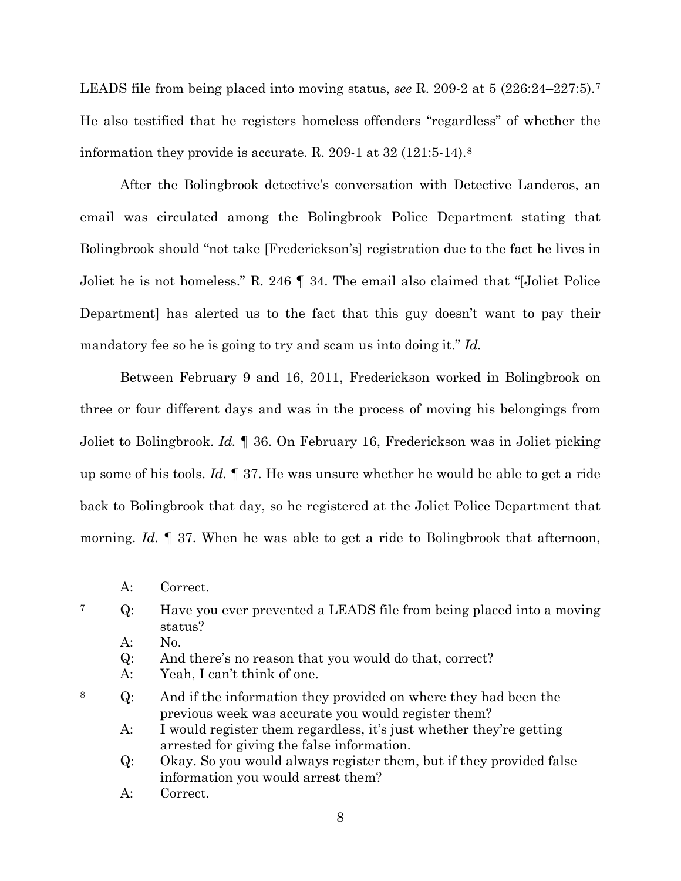LEADS file from being placed into moving status, *see* R. 209-2 at 5 (226:24–227:5).<sup>7</sup> He also testified that he registers homeless offenders "regardless" of whether the information they provide is accurate. R. 209-1 at 32 (121:5-14). 8

After the Bolingbrook detective's conversation with Detective Landeros, an email was circulated among the Bolingbrook Police Department stating that Bolingbrook should "not take [Frederickson's] registration due to the fact he lives in Joliet he is not homeless." R. 246 ¶ 34. The email also claimed that "[Joliet Police Department] has alerted us to the fact that this guy doesn't want to pay their mandatory fee so he is going to try and scam us into doing it." *Id.*

Between February 9 and 16, 2011, Frederickson worked in Bolingbrook on three or four different days and was in the process of moving his belongings from Joliet to Bolingbrook. *Id.* ¶ 36. On February 16, Frederickson was in Joliet picking up some of his tools. *Id.* ¶ 37. He was unsure whether he would be able to get a ride back to Bolingbrook that day, so he registered at the Joliet Police Department that morning. *Id.* 137. When he was able to get a ride to Bolingbrook that afternoon,

 $\overline{a}$ 

|   | A:    | Correct.                                                                                                               |
|---|-------|------------------------------------------------------------------------------------------------------------------------|
| 7 | $Q$ : | Have you ever prevented a LEADS file from being placed into a moving<br>status?                                        |
|   | A:    | No.                                                                                                                    |
|   | Q:    | And there's no reason that you would do that, correct?                                                                 |
|   | $A$ : | Yeah, I can't think of one.                                                                                            |
| 8 | Q:    | And if the information they provided on where they had been the<br>previous week was accurate you would register them? |
|   | $A$ : | I would register them regardless, it's just whether they're getting<br>arrested for giving the false information.      |
|   | Q:    | Okay. So you would always register them, but if they provided false<br>information you would arrest them?              |
|   | A:    | Correct.                                                                                                               |
|   |       |                                                                                                                        |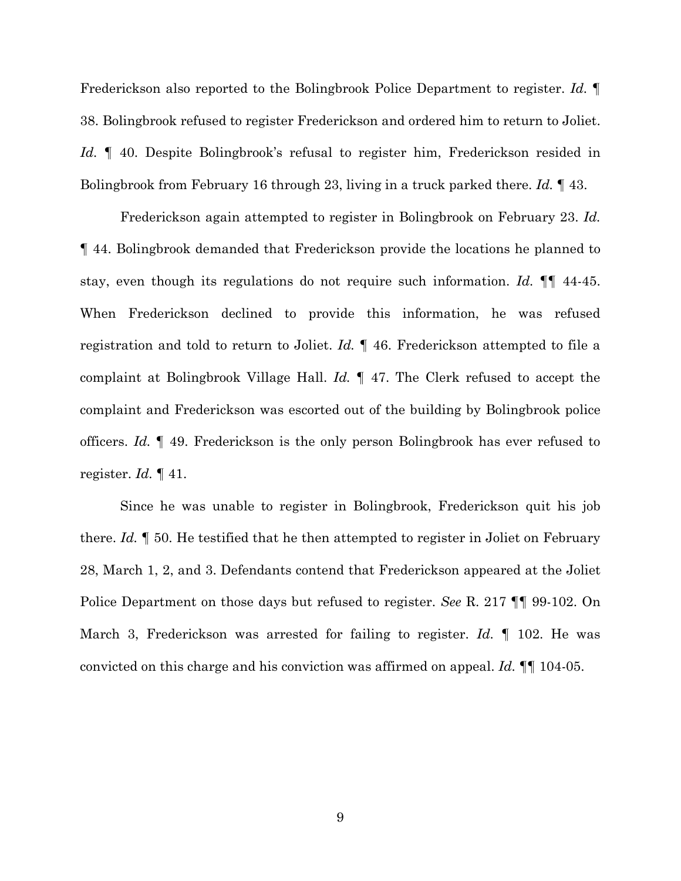Frederickson also reported to the Bolingbrook Police Department to register. *Id.* ¶ 38. Bolingbrook refused to register Frederickson and ordered him to return to Joliet. Id.  $\parallel$  40. Despite Bolingbrook's refusal to register him, Frederickson resided in Bolingbrook from February 16 through 23, living in a truck parked there. *Id.* ¶ 43.

Frederickson again attempted to register in Bolingbrook on February 23. *Id.* ¶ 44. Bolingbrook demanded that Frederickson provide the locations he planned to stay, even though its regulations do not require such information. *Id.* ¶¶ 44-45. When Frederickson declined to provide this information, he was refused registration and told to return to Joliet. *Id.* ¶ 46. Frederickson attempted to file a complaint at Bolingbrook Village Hall. *Id.* ¶ 47. The Clerk refused to accept the complaint and Frederickson was escorted out of the building by Bolingbrook police officers. *Id.* ¶ 49. Frederickson is the only person Bolingbrook has ever refused to register. *Id.* ¶ 41.

Since he was unable to register in Bolingbrook, Frederickson quit his job there. *Id.* ¶ 50. He testified that he then attempted to register in Joliet on February 28, March 1, 2, and 3. Defendants contend that Frederickson appeared at the Joliet Police Department on those days but refused to register. *See* R. 217 ¶¶ 99-102. On March 3, Frederickson was arrested for failing to register. *Id.* ¶ 102. He was convicted on this charge and his conviction was affirmed on appeal. *Id.* ¶¶ 104-05.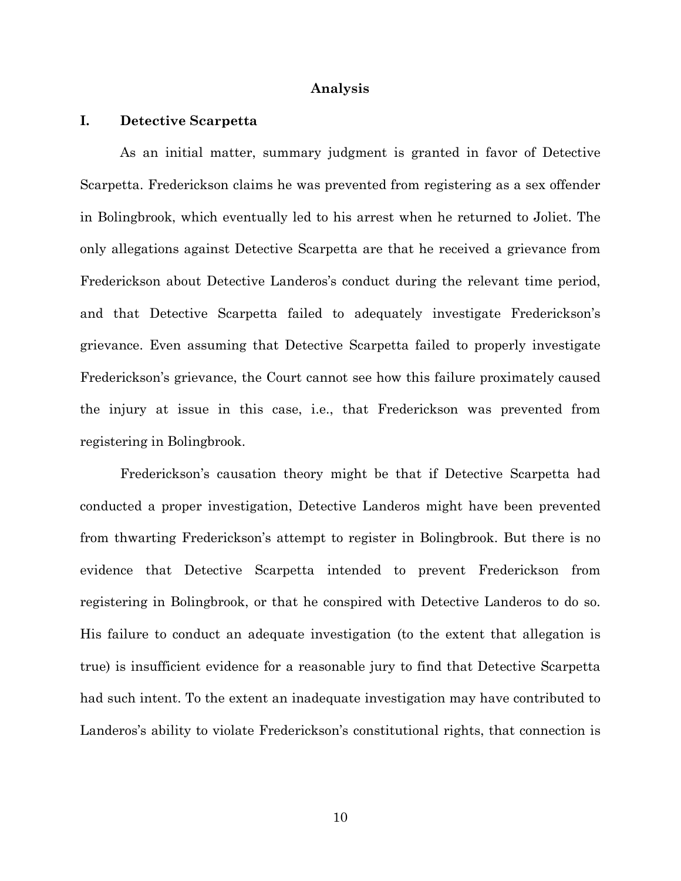#### **Analysis**

#### **I. Detective Scarpetta**

As an initial matter, summary judgment is granted in favor of Detective Scarpetta. Frederickson claims he was prevented from registering as a sex offender in Bolingbrook, which eventually led to his arrest when he returned to Joliet. The only allegations against Detective Scarpetta are that he received a grievance from Frederickson about Detective Landeros's conduct during the relevant time period, and that Detective Scarpetta failed to adequately investigate Frederickson's grievance. Even assuming that Detective Scarpetta failed to properly investigate Frederickson's grievance, the Court cannot see how this failure proximately caused the injury at issue in this case, i.e., that Frederickson was prevented from registering in Bolingbrook.

Frederickson's causation theory might be that if Detective Scarpetta had conducted a proper investigation, Detective Landeros might have been prevented from thwarting Frederickson's attempt to register in Bolingbrook. But there is no evidence that Detective Scarpetta intended to prevent Frederickson from registering in Bolingbrook, or that he conspired with Detective Landeros to do so. His failure to conduct an adequate investigation (to the extent that allegation is true) is insufficient evidence for a reasonable jury to find that Detective Scarpetta had such intent. To the extent an inadequate investigation may have contributed to Landeros's ability to violate Frederickson's constitutional rights, that connection is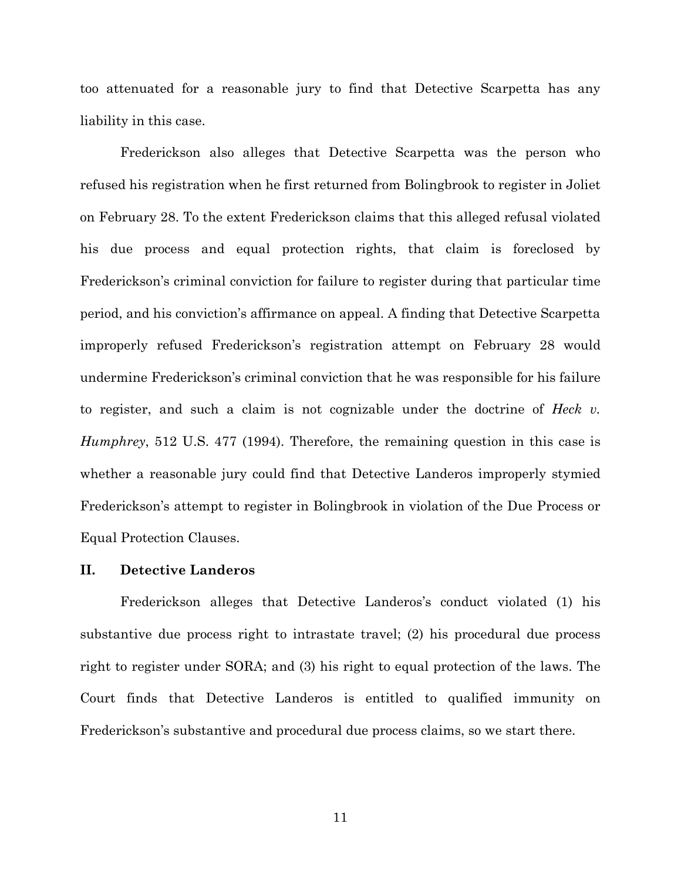too attenuated for a reasonable jury to find that Detective Scarpetta has any liability in this case.

Frederickson also alleges that Detective Scarpetta was the person who refused his registration when he first returned from Bolingbrook to register in Joliet on February 28. To the extent Frederickson claims that this alleged refusal violated his due process and equal protection rights, that claim is foreclosed by Frederickson's criminal conviction for failure to register during that particular time period, and his conviction's affirmance on appeal. A finding that Detective Scarpetta improperly refused Frederickson's registration attempt on February 28 would undermine Frederickson's criminal conviction that he was responsible for his failure to register, and such a claim is not cognizable under the doctrine of *Heck v. Humphrey*, 512 U.S. 477 (1994). Therefore, the remaining question in this case is whether a reasonable jury could find that Detective Landeros improperly stymied Frederickson's attempt to register in Bolingbrook in violation of the Due Process or Equal Protection Clauses.

## **II. Detective Landeros**

Frederickson alleges that Detective Landeros's conduct violated (1) his substantive due process right to intrastate travel; (2) his procedural due process right to register under SORA; and (3) his right to equal protection of the laws. The Court finds that Detective Landeros is entitled to qualified immunity on Frederickson's substantive and procedural due process claims, so we start there.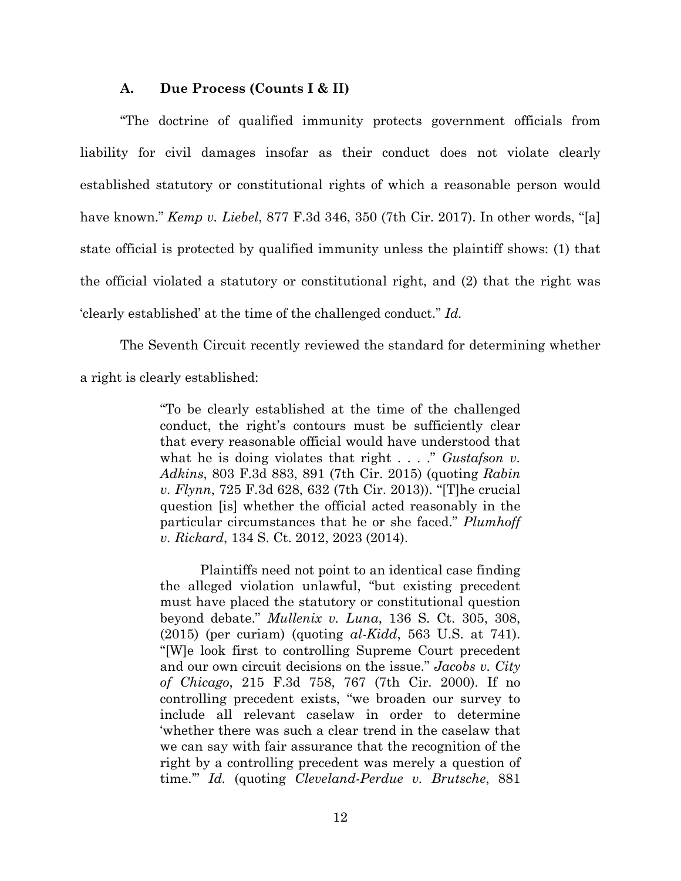### **A. Due Process (Counts I & II)**

"The doctrine of qualified immunity protects government officials from liability for civil damages insofar as their conduct does not violate clearly established statutory or constitutional rights of which a reasonable person would have known." *Kemp v. Liebel*, 877 F.3d 346, 350 (7th Cir. 2017). In other words, "[a] state official is protected by qualified immunity unless the plaintiff shows: (1) that the official violated a statutory or constitutional right, and (2) that the right was 'clearly established' at the time of the challenged conduct." *Id.*

The Seventh Circuit recently reviewed the standard for determining whether a right is clearly established:

> "To be clearly established at the time of the challenged conduct, the right's contours must be sufficiently clear that every reasonable official would have understood that what he is doing violates that right . . . ." *Gustafson v. Adkins*, 803 F.3d 883, 891 (7th Cir. 2015) (quoting *Rabin v. Flynn*, 725 F.3d 628, 632 (7th Cir. 2013)). "[T]he crucial question [is] whether the official acted reasonably in the particular circumstances that he or she faced." *Plumhoff v. Rickard*, 134 S. Ct. 2012, 2023 (2014).

> Plaintiffs need not point to an identical case finding the alleged violation unlawful, "but existing precedent must have placed the statutory or constitutional question beyond debate." *Mullenix v. Luna*, 136 S. Ct. 305, 308, (2015) (per curiam) (quoting *al-Kidd*, 563 U.S. at 741). "[W]e look first to controlling Supreme Court precedent and our own circuit decisions on the issue." *Jacobs v. City of Chicago*, 215 F.3d 758, 767 (7th Cir. 2000). If no controlling precedent exists, "we broaden our survey to include all relevant caselaw in order to determine 'whether there was such a clear trend in the caselaw that we can say with fair assurance that the recognition of the right by a controlling precedent was merely a question of time.'" *Id.* (quoting *Cleveland-Perdue v. Brutsche*, 881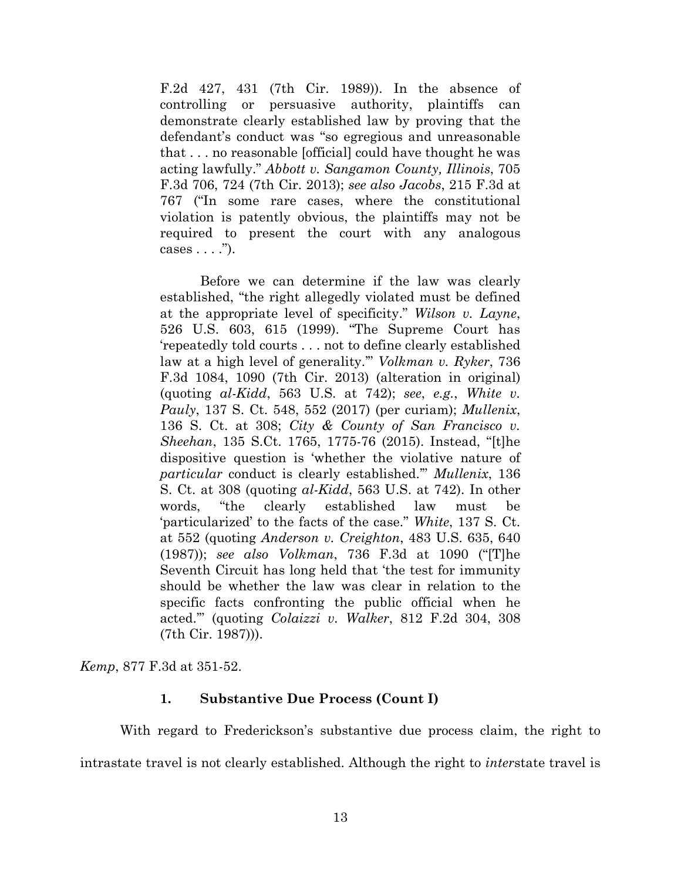F.2d 427, 431 (7th Cir. 1989)). In the absence of controlling or persuasive authority, plaintiffs can demonstrate clearly established law by proving that the defendant's conduct was "so egregious and unreasonable that . . . no reasonable [official] could have thought he was acting lawfully." *Abbott v. Sangamon County, Illinois*, 705 F.3d 706, 724 (7th Cir. 2013); *see also Jacobs*, 215 F.3d at 767 ("In some rare cases, where the constitutional violation is patently obvious, the plaintiffs may not be required to present the court with any analogous cases  $\dots$ ").

Before we can determine if the law was clearly established, "the right allegedly violated must be defined at the appropriate level of specificity." *Wilson v. Layne*, 526 U.S. 603, 615 (1999). "The Supreme Court has 'repeatedly told courts . . . not to define clearly established law at a high level of generality.'" *Volkman v. Ryker*, 736 F.3d 1084, 1090 (7th Cir. 2013) (alteration in original) (quoting *al-Kidd*, 563 U.S. at 742); *see*, *e.g.*, *White v. Pauly*, 137 S. Ct. 548, 552 (2017) (per curiam); *Mullenix*, 136 S. Ct. at 308; *City & County of San Francisco v. Sheehan*, 135 S.Ct. 1765, 1775-76 (2015). Instead, "[t]he dispositive question is 'whether the violative nature of *particular* conduct is clearly established.'" *Mullenix*, 136 S. Ct. at 308 (quoting *al-Kidd*, 563 U.S. at 742). In other words, "the clearly established law must be 'particularized' to the facts of the case." *White*, 137 S. Ct. at 552 (quoting *Anderson v. Creighton*, 483 U.S. 635, 640 (1987)); *see also Volkman*, 736 F.3d at 1090 ("[T]he Seventh Circuit has long held that 'the test for immunity should be whether the law was clear in relation to the specific facts confronting the public official when he acted.'" (quoting *Colaizzi v. Walker*, 812 F.2d 304, 308 (7th Cir. 1987))).

*Kemp*, 877 F.3d at 351-52.

## **1. Substantive Due Process (Count I)**

With regard to Frederickson's substantive due process claim, the right to intrastate travel is not clearly established. Although the right to *inter*state travel is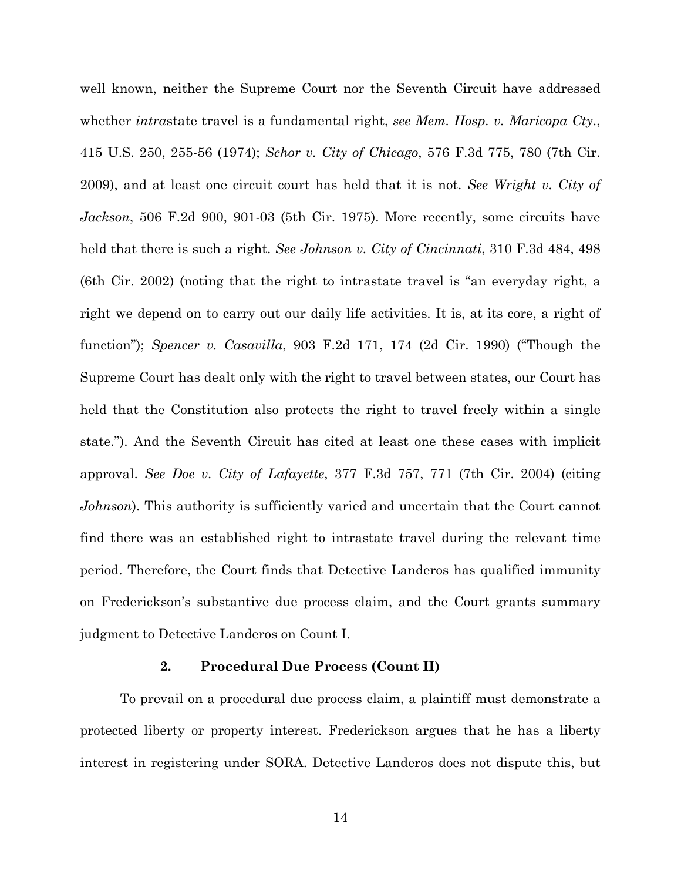well known, neither the Supreme Court nor the Seventh Circuit have addressed whether *intra*state travel is a fundamental right, *see Mem. Hosp. v. Maricopa Cty*., 415 U.S. 250, 255-56 (1974); *Schor v. City of Chicago*, 576 F.3d 775, 780 (7th Cir. 2009), and at least one circuit court has held that it is not. *See Wright v. City of Jackson*, 506 F.2d 900, 901-03 (5th Cir. 1975). More recently, some circuits have held that there is such a right. *See Johnson v. City of Cincinnati*, 310 F.3d 484, 498 (6th Cir. 2002) (noting that the right to intrastate travel is "an everyday right, a right we depend on to carry out our daily life activities. It is, at its core, a right of function"); *Spencer v. Casavilla*, 903 F.2d 171, 174 (2d Cir. 1990) ("Though the Supreme Court has dealt only with the right to travel between states, our Court has held that the Constitution also protects the right to travel freely within a single state."). And the Seventh Circuit has cited at least one these cases with implicit approval. *See Doe v. City of Lafayette*, 377 F.3d 757, 771 (7th Cir. 2004) (citing *Johnson*). This authority is sufficiently varied and uncertain that the Court cannot find there was an established right to intrastate travel during the relevant time period. Therefore, the Court finds that Detective Landeros has qualified immunity on Frederickson's substantive due process claim, and the Court grants summary judgment to Detective Landeros on Count I.

## **2. Procedural Due Process (Count II)**

To prevail on a procedural due process claim, a plaintiff must demonstrate a protected liberty or property interest. Frederickson argues that he has a liberty interest in registering under SORA. Detective Landeros does not dispute this, but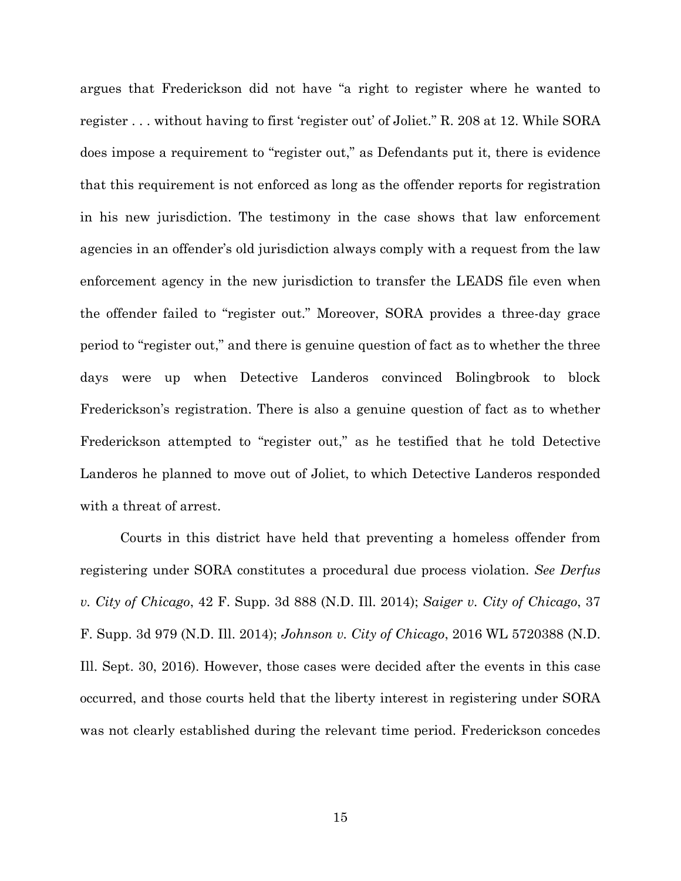argues that Frederickson did not have "a right to register where he wanted to register . . . without having to first 'register out' of Joliet." R. 208 at 12. While SORA does impose a requirement to "register out," as Defendants put it, there is evidence that this requirement is not enforced as long as the offender reports for registration in his new jurisdiction. The testimony in the case shows that law enforcement agencies in an offender's old jurisdiction always comply with a request from the law enforcement agency in the new jurisdiction to transfer the LEADS file even when the offender failed to "register out." Moreover, SORA provides a three-day grace period to "register out," and there is genuine question of fact as to whether the three days were up when Detective Landeros convinced Bolingbrook to block Frederickson's registration. There is also a genuine question of fact as to whether Frederickson attempted to "register out," as he testified that he told Detective Landeros he planned to move out of Joliet, to which Detective Landeros responded with a threat of arrest.

Courts in this district have held that preventing a homeless offender from registering under SORA constitutes a procedural due process violation. *See Derfus v. City of Chicago*, 42 F. Supp. 3d 888 (N.D. Ill. 2014); *Saiger v. City of Chicago*, 37 F. Supp. 3d 979 (N.D. Ill. 2014); *Johnson v. City of Chicago*, 2016 WL 5720388 (N.D. Ill. Sept. 30, 2016). However, those cases were decided after the events in this case occurred, and those courts held that the liberty interest in registering under SORA was not clearly established during the relevant time period. Frederickson concedes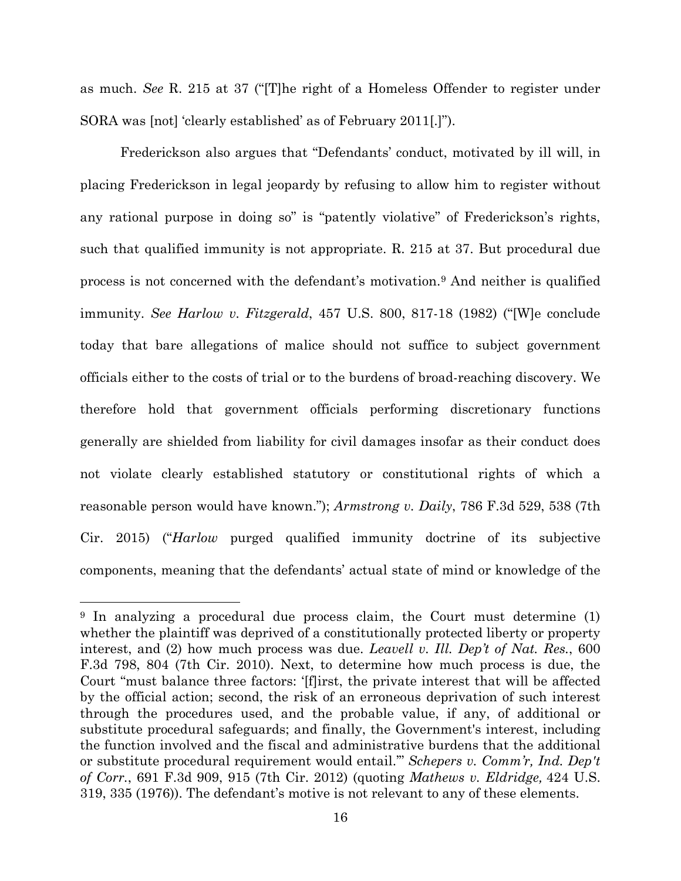as much. *See* R. 215 at 37 ("[T]he right of a Homeless Offender to register under SORA was [not] 'clearly established' as of February 2011[.]").

Frederickson also argues that "Defendants' conduct, motivated by ill will, in placing Frederickson in legal jeopardy by refusing to allow him to register without any rational purpose in doing so" is "patently violative" of Frederickson's rights, such that qualified immunity is not appropriate. R. 215 at 37. But procedural due process is not concerned with the defendant's motivation. <sup>9</sup> And neither is qualified immunity. *See Harlow v. Fitzgerald*, 457 U.S. 800, 817-18 (1982) ("[W]e conclude today that bare allegations of malice should not suffice to subject government officials either to the costs of trial or to the burdens of broad-reaching discovery. We therefore hold that government officials performing discretionary functions generally are shielded from liability for civil damages insofar as their conduct does not violate clearly established statutory or constitutional rights of which a reasonable person would have known."); *Armstrong v. Daily*, 786 F.3d 529, 538 (7th Cir. 2015) ("*Harlow* purged qualified immunity doctrine of its subjective components, meaning that the defendants' actual state of mind or knowledge of the

<sup>&</sup>lt;sup>9</sup> In analyzing a procedural due process claim, the Court must determine (1) whether the plaintiff was deprived of a constitutionally protected liberty or property interest, and (2) how much process was due. *Leavell v. Ill. Dep't of Nat. Res.*, 600 F.3d 798, 804 (7th Cir. 2010). Next, to determine how much process is due, the Court "must balance three factors: '[f]irst, the private interest that will be affected by the official action; second, the risk of an erroneous deprivation of such interest through the procedures used, and the probable value, if any, of additional or substitute procedural safeguards; and finally, the Government's interest, including the function involved and the fiscal and administrative burdens that the additional or substitute procedural requirement would entail.'" *Schepers v. Comm'r, Ind. Dep't of Corr.*, 691 F.3d 909, 915 (7th Cir. 2012) (quoting *Mathews v. Eldridge,* 424 U.S. 319, 335 (1976)). The defendant's motive is not relevant to any of these elements.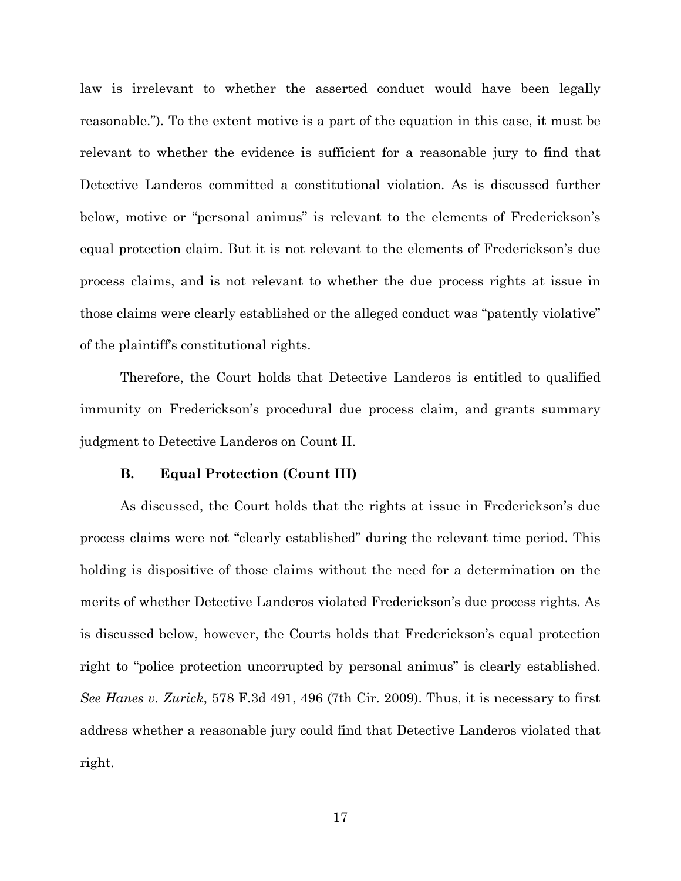law is irrelevant to whether the asserted conduct would have been legally reasonable."). To the extent motive is a part of the equation in this case, it must be relevant to whether the evidence is sufficient for a reasonable jury to find that Detective Landeros committed a constitutional violation. As is discussed further below, motive or "personal animus" is relevant to the elements of Frederickson's equal protection claim. But it is not relevant to the elements of Frederickson's due process claims, and is not relevant to whether the due process rights at issue in those claims were clearly established or the alleged conduct was "patently violative" of the plaintiff's constitutional rights.

Therefore, the Court holds that Detective Landeros is entitled to qualified immunity on Frederickson's procedural due process claim, and grants summary judgment to Detective Landeros on Count II.

## **B. Equal Protection (Count III)**

As discussed, the Court holds that the rights at issue in Frederickson's due process claims were not "clearly established" during the relevant time period. This holding is dispositive of those claims without the need for a determination on the merits of whether Detective Landeros violated Frederickson's due process rights. As is discussed below, however, the Courts holds that Frederickson's equal protection right to "police protection uncorrupted by personal animus" is clearly established. *See Hanes v. Zurick*, 578 F.3d 491, 496 (7th Cir. 2009). Thus, it is necessary to first address whether a reasonable jury could find that Detective Landeros violated that right.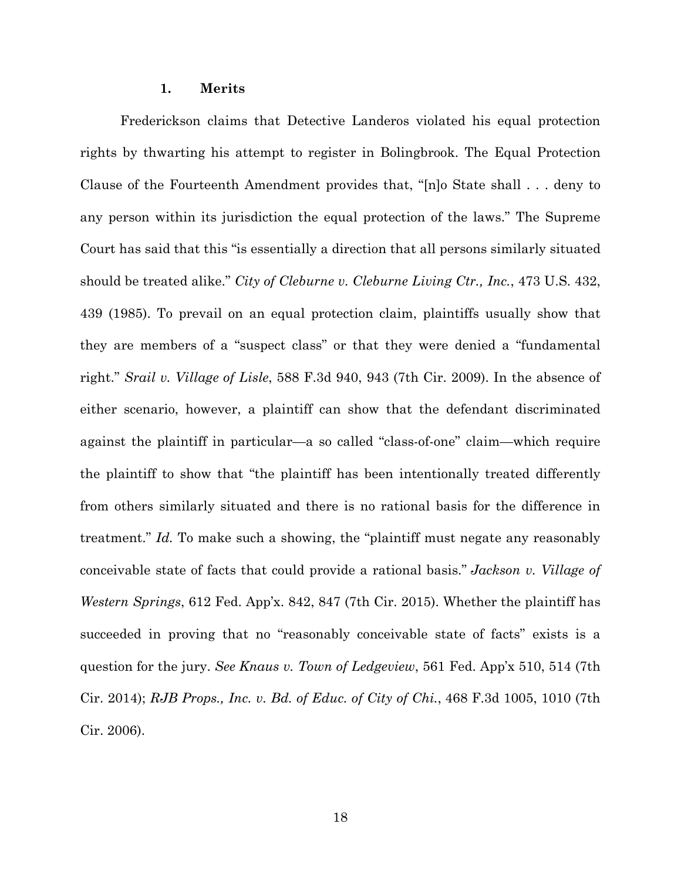#### **1. Merits**

Frederickson claims that Detective Landeros violated his equal protection rights by thwarting his attempt to register in Bolingbrook. The Equal Protection Clause of the Fourteenth Amendment provides that, "[n]o State shall . . . deny to any person within its jurisdiction the equal protection of the laws." The Supreme Court has said that this "is essentially a direction that all persons similarly situated should be treated alike." *City of Cleburne v. Cleburne Living Ctr., Inc.*, 473 U.S. 432, 439 (1985). To prevail on an equal protection claim, plaintiffs usually show that they are members of a "suspect class" or that they were denied a "fundamental right." *Srail v. Village of Lisle*, 588 F.3d 940, 943 (7th Cir. 2009). In the absence of either scenario, however, a plaintiff can show that the defendant discriminated against the plaintiff in particular—a so called "class-of-one" claim—which require the plaintiff to show that "the plaintiff has been intentionally treated differently from others similarly situated and there is no rational basis for the difference in treatment." *Id.* To make such a showing, the "plaintiff must negate any reasonably conceivable state of facts that could provide a rational basis." *Jackson v. Village of Western Springs*, 612 Fed. App'x. 842, 847 (7th Cir. 2015). Whether the plaintiff has succeeded in proving that no "reasonably conceivable state of facts" exists is a question for the jury. *See Knaus v. Town of Ledgeview*, 561 Fed. App'x 510, 514 (7th Cir. 2014); *RJB Props., Inc. v. Bd. of Educ. of City of Chi.*, 468 F.3d 1005, 1010 (7th Cir. 2006).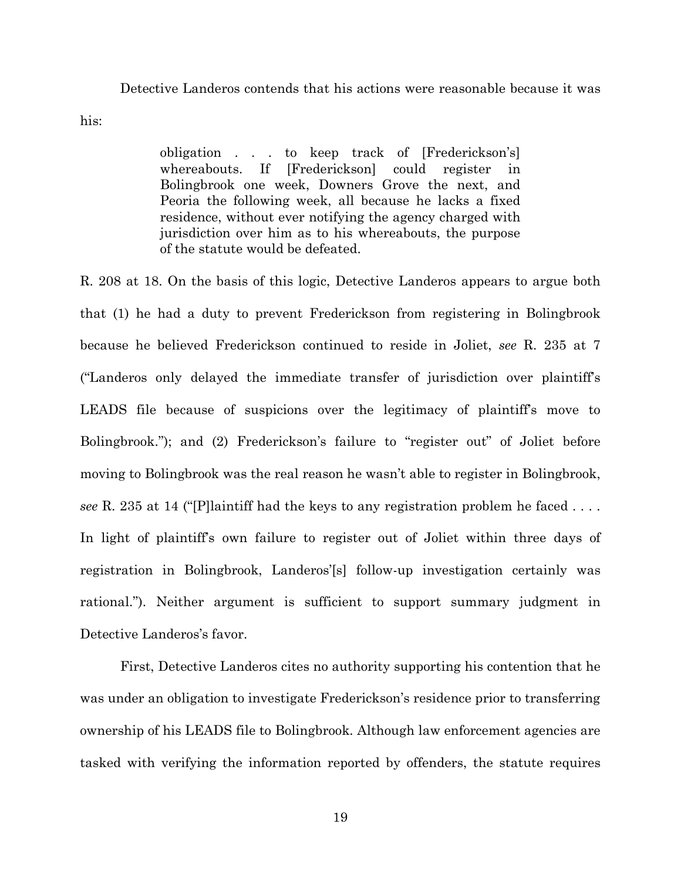Detective Landeros contends that his actions were reasonable because it was

his:

obligation . . . to keep track of [Frederickson's] whereabouts. If [Frederickson] could register in Bolingbrook one week, Downers Grove the next, and Peoria the following week, all because he lacks a fixed residence, without ever notifying the agency charged with jurisdiction over him as to his whereabouts, the purpose of the statute would be defeated.

R. 208 at 18. On the basis of this logic, Detective Landeros appears to argue both that (1) he had a duty to prevent Frederickson from registering in Bolingbrook because he believed Frederickson continued to reside in Joliet, *see* R. 235 at 7 ("Landeros only delayed the immediate transfer of jurisdiction over plaintiff's LEADS file because of suspicions over the legitimacy of plaintiff's move to Bolingbrook."); and (2) Frederickson's failure to "register out" of Joliet before moving to Bolingbrook was the real reason he wasn't able to register in Bolingbrook, *see* R. 235 at 14 ("[P]laintiff had the keys to any registration problem he faced . . . . In light of plaintiff's own failure to register out of Joliet within three days of registration in Bolingbrook, Landeros'[s] follow-up investigation certainly was rational."). Neither argument is sufficient to support summary judgment in Detective Landeros's favor.

First, Detective Landeros cites no authority supporting his contention that he was under an obligation to investigate Frederickson's residence prior to transferring ownership of his LEADS file to Bolingbrook. Although law enforcement agencies are tasked with verifying the information reported by offenders, the statute requires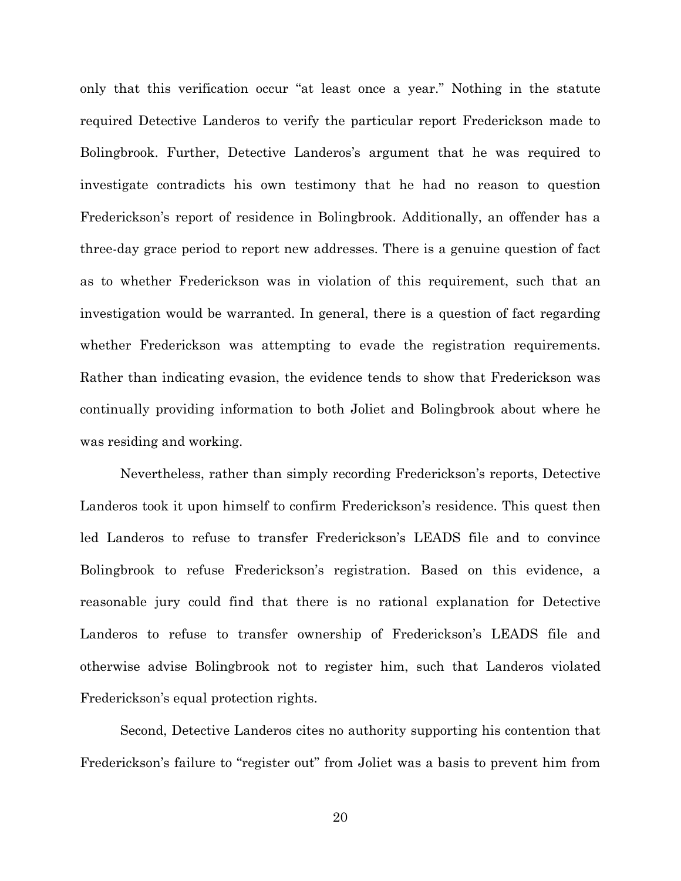only that this verification occur "at least once a year." Nothing in the statute required Detective Landeros to verify the particular report Frederickson made to Bolingbrook. Further, Detective Landeros's argument that he was required to investigate contradicts his own testimony that he had no reason to question Frederickson's report of residence in Bolingbrook. Additionally, an offender has a three-day grace period to report new addresses. There is a genuine question of fact as to whether Frederickson was in violation of this requirement, such that an investigation would be warranted. In general, there is a question of fact regarding whether Frederickson was attempting to evade the registration requirements. Rather than indicating evasion, the evidence tends to show that Frederickson was continually providing information to both Joliet and Bolingbrook about where he was residing and working.

 Nevertheless, rather than simply recording Frederickson's reports, Detective Landeros took it upon himself to confirm Frederickson's residence. This quest then led Landeros to refuse to transfer Frederickson's LEADS file and to convince Bolingbrook to refuse Frederickson's registration. Based on this evidence, a reasonable jury could find that there is no rational explanation for Detective Landeros to refuse to transfer ownership of Frederickson's LEADS file and otherwise advise Bolingbrook not to register him, such that Landeros violated Frederickson's equal protection rights.

Second, Detective Landeros cites no authority supporting his contention that Frederickson's failure to "register out" from Joliet was a basis to prevent him from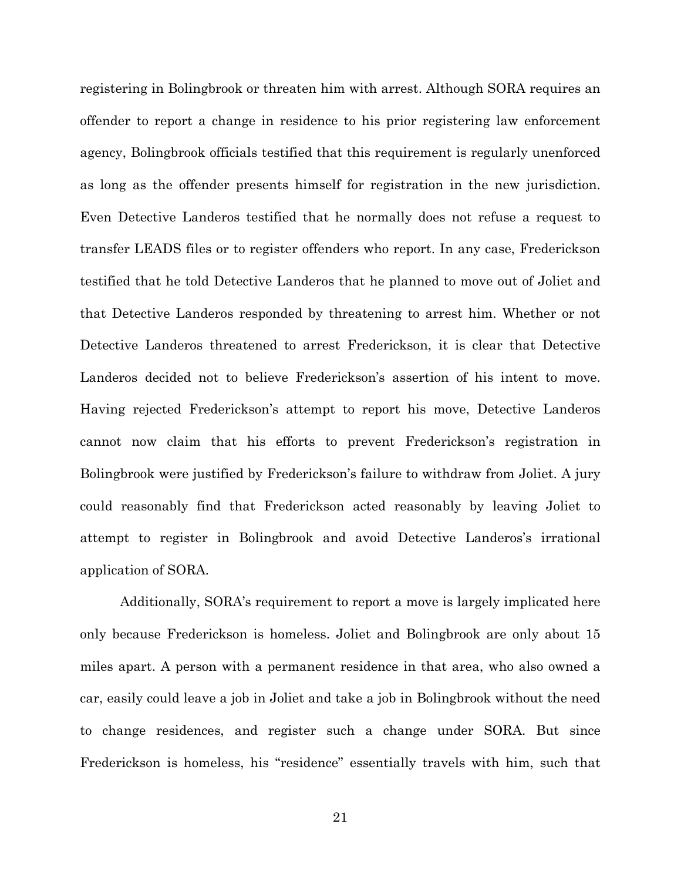registering in Bolingbrook or threaten him with arrest. Although SORA requires an offender to report a change in residence to his prior registering law enforcement agency, Bolingbrook officials testified that this requirement is regularly unenforced as long as the offender presents himself for registration in the new jurisdiction. Even Detective Landeros testified that he normally does not refuse a request to transfer LEADS files or to register offenders who report. In any case, Frederickson testified that he told Detective Landeros that he planned to move out of Joliet and that Detective Landeros responded by threatening to arrest him. Whether or not Detective Landeros threatened to arrest Frederickson, it is clear that Detective Landeros decided not to believe Frederickson's assertion of his intent to move. Having rejected Frederickson's attempt to report his move, Detective Landeros cannot now claim that his efforts to prevent Frederickson's registration in Bolingbrook were justified by Frederickson's failure to withdraw from Joliet. A jury could reasonably find that Frederickson acted reasonably by leaving Joliet to attempt to register in Bolingbrook and avoid Detective Landeros's irrational application of SORA.

Additionally, SORA's requirement to report a move is largely implicated here only because Frederickson is homeless. Joliet and Bolingbrook are only about 15 miles apart. A person with a permanent residence in that area, who also owned a car, easily could leave a job in Joliet and take a job in Bolingbrook without the need to change residences, and register such a change under SORA. But since Frederickson is homeless, his "residence" essentially travels with him, such that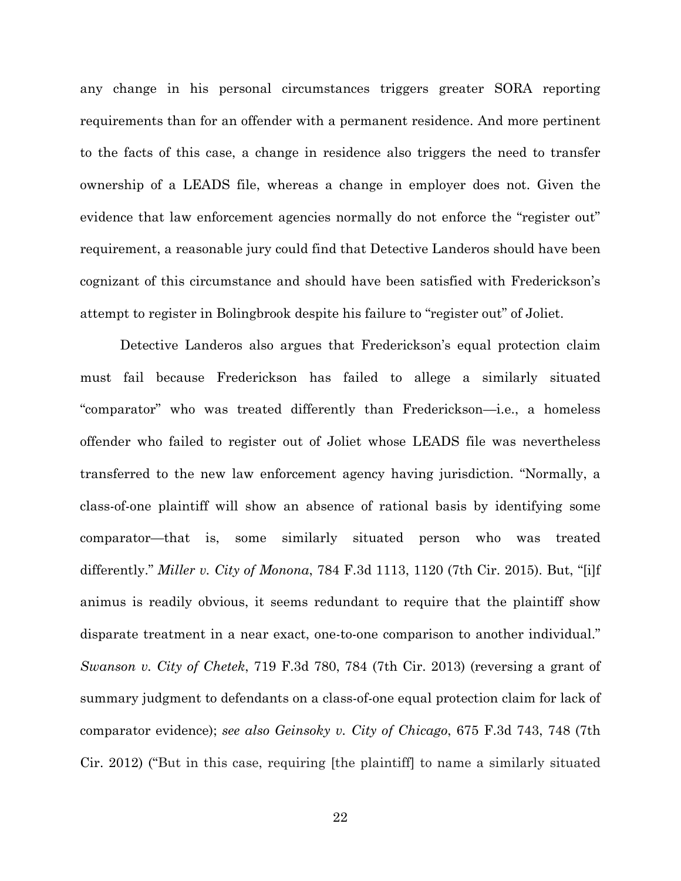any change in his personal circumstances triggers greater SORA reporting requirements than for an offender with a permanent residence. And more pertinent to the facts of this case, a change in residence also triggers the need to transfer ownership of a LEADS file, whereas a change in employer does not. Given the evidence that law enforcement agencies normally do not enforce the "register out" requirement, a reasonable jury could find that Detective Landeros should have been cognizant of this circumstance and should have been satisfied with Frederickson's attempt to register in Bolingbrook despite his failure to "register out" of Joliet.

Detective Landeros also argues that Frederickson's equal protection claim must fail because Frederickson has failed to allege a similarly situated "comparator" who was treated differently than Frederickson—i.e., a homeless offender who failed to register out of Joliet whose LEADS file was nevertheless transferred to the new law enforcement agency having jurisdiction. "Normally, a class-of-one plaintiff will show an absence of rational basis by identifying some comparator—that is, some similarly situated person who was treated differently." *Miller v. City of Monona*, 784 F.3d 1113, 1120 (7th Cir. 2015). But, "[i]f animus is readily obvious, it seems redundant to require that the plaintiff show disparate treatment in a near exact, one-to-one comparison to another individual." *Swanson v. City of Chetek*, 719 F.3d 780, 784 (7th Cir. 2013) (reversing a grant of summary judgment to defendants on a class-of-one equal protection claim for lack of comparator evidence); *see also Geinsoky v. City of Chicago*, 675 F.3d 743, 748 (7th Cir. 2012) ("But in this case, requiring [the plaintiff] to name a similarly situated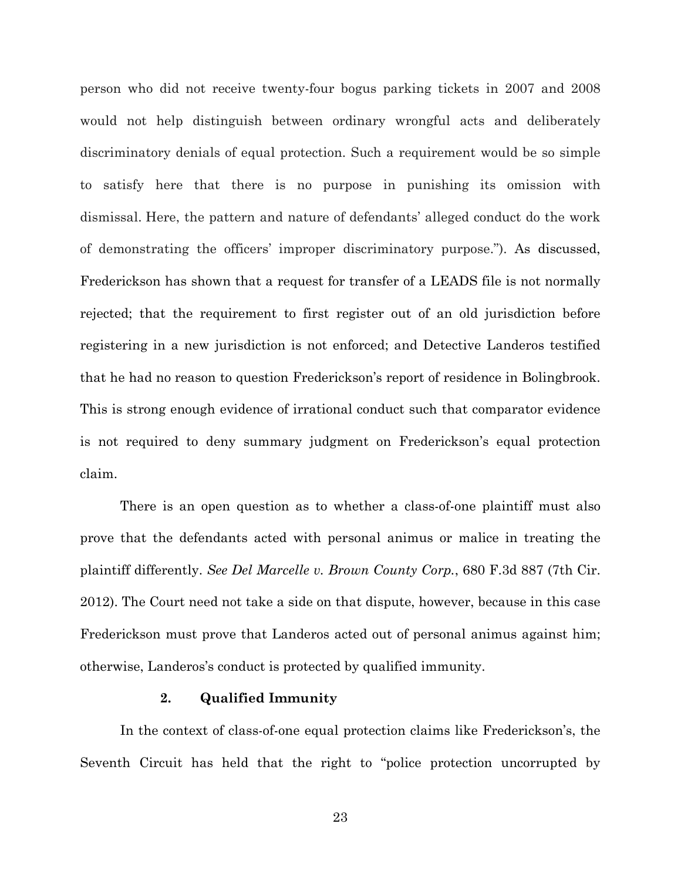person who did not receive twenty-four bogus parking tickets in 2007 and 2008 would not help distinguish between ordinary wrongful acts and deliberately discriminatory denials of equal protection. Such a requirement would be so simple to satisfy here that there is no purpose in punishing its omission with dismissal. Here, the pattern and nature of defendants' alleged conduct do the work of demonstrating the officers' improper discriminatory purpose."). As discussed, Frederickson has shown that a request for transfer of a LEADS file is not normally rejected; that the requirement to first register out of an old jurisdiction before registering in a new jurisdiction is not enforced; and Detective Landeros testified that he had no reason to question Frederickson's report of residence in Bolingbrook. This is strong enough evidence of irrational conduct such that comparator evidence is not required to deny summary judgment on Frederickson's equal protection claim.

There is an open question as to whether a class-of-one plaintiff must also prove that the defendants acted with personal animus or malice in treating the plaintiff differently. *See Del Marcelle v. Brown County Corp.*, 680 F.3d 887 (7th Cir. 2012). The Court need not take a side on that dispute, however, because in this case Frederickson must prove that Landeros acted out of personal animus against him; otherwise, Landeros's conduct is protected by qualified immunity.

#### **2. Qualified Immunity**

In the context of class-of-one equal protection claims like Frederickson's, the Seventh Circuit has held that the right to "police protection uncorrupted by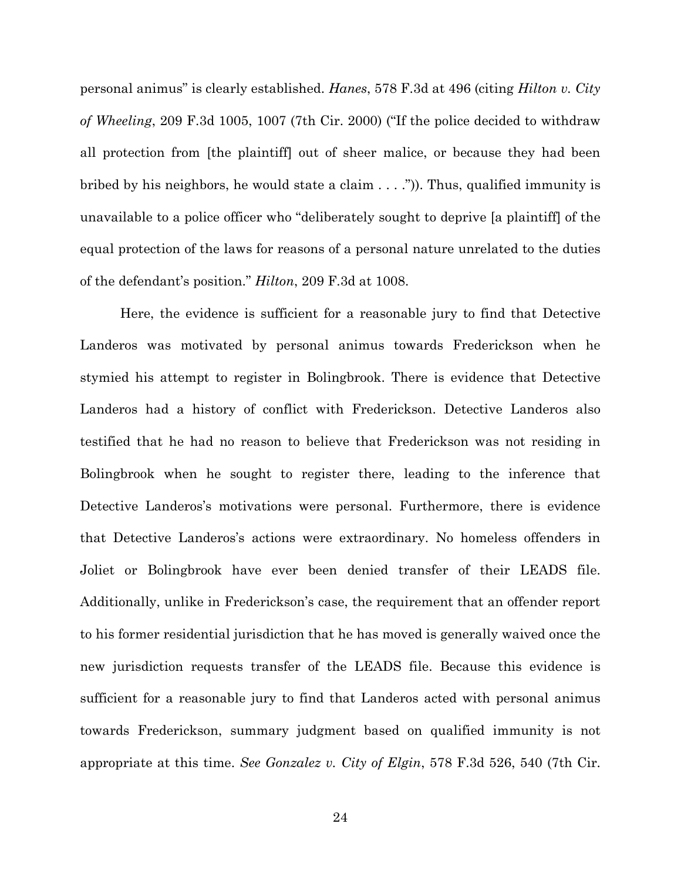personal animus" is clearly established. *Hanes*, 578 F.3d at 496 (citing *Hilton v. City of Wheeling*, 209 F.3d 1005, 1007 (7th Cir. 2000) ("If the police decided to withdraw all protection from [the plaintiff] out of sheer malice, or because they had been bribed by his neighbors, he would state a claim . . . .")). Thus, qualified immunity is unavailable to a police officer who "deliberately sought to deprive [a plaintiff] of the equal protection of the laws for reasons of a personal nature unrelated to the duties of the defendant's position." *Hilton*, 209 F.3d at 1008.

Here, the evidence is sufficient for a reasonable jury to find that Detective Landeros was motivated by personal animus towards Frederickson when he stymied his attempt to register in Bolingbrook. There is evidence that Detective Landeros had a history of conflict with Frederickson. Detective Landeros also testified that he had no reason to believe that Frederickson was not residing in Bolingbrook when he sought to register there, leading to the inference that Detective Landeros's motivations were personal. Furthermore, there is evidence that Detective Landeros's actions were extraordinary. No homeless offenders in Joliet or Bolingbrook have ever been denied transfer of their LEADS file. Additionally, unlike in Frederickson's case, the requirement that an offender report to his former residential jurisdiction that he has moved is generally waived once the new jurisdiction requests transfer of the LEADS file. Because this evidence is sufficient for a reasonable jury to find that Landeros acted with personal animus towards Frederickson, summary judgment based on qualified immunity is not appropriate at this time. *See Gonzalez v. City of Elgin*, 578 F.3d 526, 540 (7th Cir.